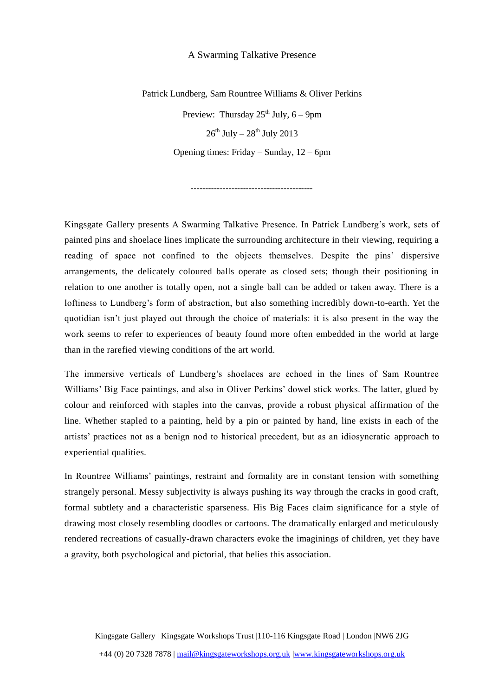### A Swarming Talkative Presence

Patrick Lundberg, Sam Rountree Williams & Oliver Perkins Preview: Thursday  $25^{th}$  July,  $6 - 9$ pm  $26^{\rm th}$  July  $-28^{\rm th}$  July  $2013$ Opening times: Friday – Sunday, 12 – 6pm

*------------------------------------------*

Kingsgate Gallery presents A Swarming Talkative Presence. In Patrick Lundberg's work, sets of painted pins and shoelace lines implicate the surrounding architecture in their viewing, requiring a reading of space not confined to the objects themselves. Despite the pins' dispersive arrangements, the delicately coloured balls operate as closed sets; though their positioning in relation to one another is totally open, not a single ball can be added or taken away. There is a loftiness to Lundberg's form of abstraction, but also something incredibly down-to-earth. Yet the quotidian isn't just played out through the choice of materials: it is also present in the way the work seems to refer to experiences of beauty found more often embedded in the world at large than in the rarefied viewing conditions of the art world.

The immersive verticals of Lundberg's shoelaces are echoed in the lines of Sam Rountree Williams' Big Face paintings, and also in Oliver Perkins' dowel stick works. The latter, glued by colour and reinforced with staples into the canvas, provide a robust physical affirmation of the line. Whether stapled to a painting, held by a pin or painted by hand, line exists in each of the artists' practices not as a benign nod to historical precedent, but as an idiosyncratic approach to experiential qualities.

In Rountree Williams' paintings, restraint and formality are in constant tension with something strangely personal. Messy subjectivity is always pushing its way through the cracks in good craft, formal subtlety and a characteristic sparseness. His Big Faces claim significance for a style of drawing most closely resembling doodles or cartoons. The dramatically enlarged and meticulously rendered recreations of casually-drawn characters evoke the imaginings of children, yet they have a gravity, both psychological and pictorial, that belies this association.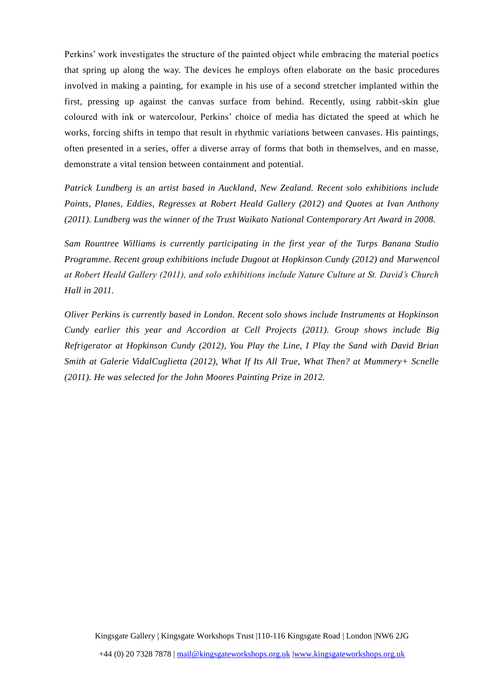Perkins' work investigates the structure of the painted object while embracing the material poetics that spring up along the way. The devices he employs often elaborate on the basic procedures involved in making a painting, for example in his use of a second stretcher implanted within the first, pressing up against the canvas surface from behind. Recently, using rabbit-skin glue coloured with ink or watercolour, Perkins' choice of media has dictated the speed at which he works, forcing shifts in tempo that result in rhythmic variations between canvases. His paintings, often presented in a series, offer a diverse array of forms that both in themselves, and en masse, demonstrate a vital tension between containment and potential.

*Patrick Lundberg is an artist based in Auckland, New Zealand. Recent solo exhibitions include Points, Planes, Eddies, Regresses at Robert Heald Gallery (2012) and Quotes at Ivan Anthony (2011). Lundberg was the winner of the Trust Waikato National Contemporary Art Award in 2008.* 

*Sam Rountree Williams is currently participating in the first year of the Turps Banana Studio Programme. Recent group exhibitions include Dugout at Hopkinson Cundy (2012) and Marwencol at Robert Heald Gallery (2011), and solo exhibitions include Nature Culture at St. David's Church Hall in 2011.* 

*Oliver Perkins is currently based in London. Recent solo shows include Instruments at Hopkinson Cundy earlier this year and Accordion at Cell Projects (2011). Group shows include Big Refrigerator at Hopkinson Cundy (2012), You Play the Line, I Play the Sand with David Brian Smith at Galerie VidalCuglietta (2012), What If Its All True, What Then? at Mummery+ Scnelle (2011). He was selected for the John Moores Painting Prize in 2012.*